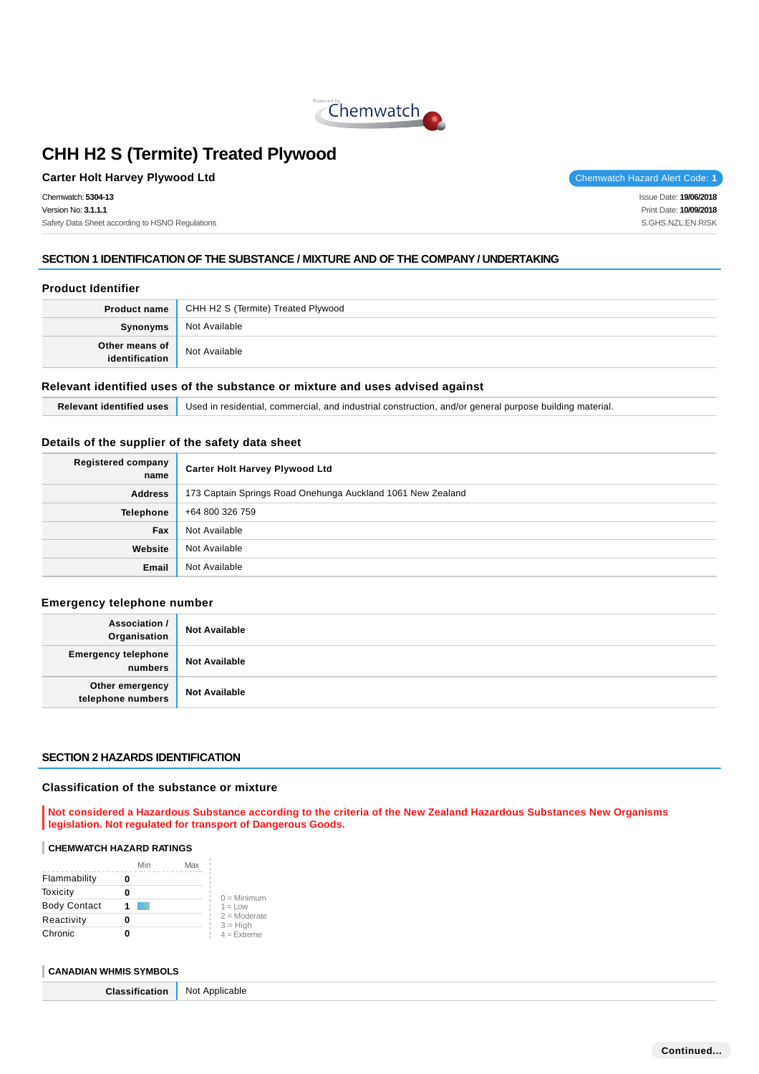

## **Carter Holt Harvey Plywood Ltd** Chemwatch Hazard Alert Code: 1

Chemwatch: **5304-13** Version No: **3.1.1.1** Safety Data Sheet according to HSNO Regulations Issue Date: **19/06/2018**

Print Date: **10/09/2018** S.GHS.NZL.EN.RISK

## **SECTION 1 IDENTIFICATION OF THE SUBSTANCE / MIXTURE AND OF THE COMPANY / UNDERTAKING**

## **Product Identifier**

|                | <b>Product name</b> CHH H2 S (Termite) Treated Plywood |  |
|----------------|--------------------------------------------------------|--|
| Synonyms       | Not Available                                          |  |
| Other means of | Not Available                                          |  |

#### **Relevant identified uses of the substance or mixture and uses advised against**

**Relevant identified uses** Used in residential, commercial, and industrial construction, and/or general purpose building material.

## **Details of the supplier of the safety data sheet**

| <b>Registered company</b><br>name | <b>Carter Holt Harvey Plywood Ltd</b>                       |
|-----------------------------------|-------------------------------------------------------------|
| <b>Address</b>                    | 173 Captain Springs Road Onehunga Auckland 1061 New Zealand |
| <b>Telephone</b>                  | +64 800 326 759                                             |
| Fax                               | Not Available                                               |
| Website                           | Not Available                                               |
| Email                             | Not Available                                               |

### **Emergency telephone number**

| <b>Association /</b><br>Organisation  | <b>Not Available</b> |
|---------------------------------------|----------------------|
| <b>Emergency telephone</b><br>numbers | <b>Not Available</b> |
| Other emergency<br>telephone numbers  | <b>Not Available</b> |

#### **SECTION 2 HAZARDS IDENTIFICATION**

#### **Classification of the substance or mixture**

**Not considered a Hazardous Substance according to the criteria of the New Zealand Hazardous Substances New Organisms legislation. Not regulated for transport of Dangerous Goods.**

#### **CHEMWATCH HAZARD RATINGS**

|                     | Min | Max |                              |
|---------------------|-----|-----|------------------------------|
| Flammability        |     |     |                              |
| Toxicity            |     |     | $0 =$ Minimum                |
| <b>Body Contact</b> |     |     | $1 = Low$                    |
| Reactivity          |     |     | $2 =$ Moderate<br>$3 = High$ |
| Chronic             |     |     | $4 =$ Extreme                |

#### **CANADIAN WHMIS SYMBOLS**

| <b>Classification</b><br>. | $\cdots$<br>Not Applicable |
|----------------------------|----------------------------|
|----------------------------|----------------------------|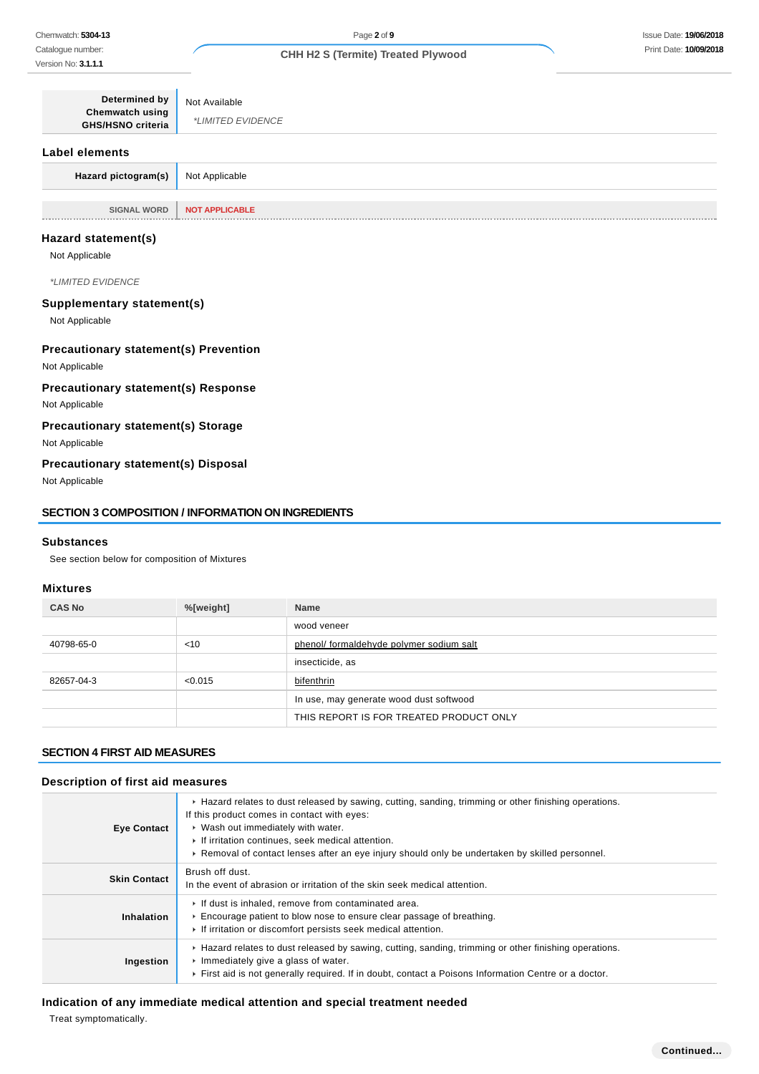| <b>Determined by</b><br>Chemwatch using<br>GHS/HSNO criteria | Not Available<br>*LIMITED EVIDENCE |
|--------------------------------------------------------------|------------------------------------|
| Label elements                                               |                                    |
| Hazard pictogram(s)                                          | Not Applicable                     |
|                                                              |                                    |
| <b>SIGNAL WORD</b>                                           | <b>NOT APPLICABLE</b>              |

#### **Hazard statement(s)**

Not Applicable

\*LIMITED EVIDENCE

### **Supplementary statement(s)**

Not Applicable

### **Precautionary statement(s) Prevention**

Not Applicable

## **Precautionary statement(s) Response**

Not Applicable

## **Precautionary statement(s) Storage**

Not Applicable

### **Precautionary statement(s) Disposal**

Not Applicable

#### **SECTION 3 COMPOSITION / INFORMATION ON INGREDIENTS**

#### **Substances**

See section below for composition of Mixtures

## **Mixtures**

| <b>CAS No</b> | %[weight] | <b>Name</b>                              |
|---------------|-----------|------------------------------------------|
|               |           | wood veneer                              |
| 40798-65-0    | < 10      | phenol/ formaldehyde polymer sodium salt |
|               |           | insecticide, as                          |
| 82657-04-3    | < 0.015   | bifenthrin                               |
|               |           | In use, may generate wood dust softwood  |
|               |           | THIS REPORT IS FOR TREATED PRODUCT ONLY  |

## **SECTION 4 FIRST AID MEASURES**

## **Description of first aid measures**

| <b>Eye Contact</b>  | ► Hazard relates to dust released by sawing, cutting, sanding, trimming or other finishing operations.<br>If this product comes in contact with eyes:<br>▶ Wash out immediately with water.<br>If irritation continues, seek medical attention.<br>► Removal of contact lenses after an eye injury should only be undertaken by skilled personnel. |
|---------------------|----------------------------------------------------------------------------------------------------------------------------------------------------------------------------------------------------------------------------------------------------------------------------------------------------------------------------------------------------|
| <b>Skin Contact</b> | Brush off dust.<br>In the event of abrasion or irritation of the skin seek medical attention.                                                                                                                                                                                                                                                      |
| Inhalation          | If dust is inhaled, remove from contaminated area.<br>Encourage patient to blow nose to ensure clear passage of breathing.<br>If irritation or discomfort persists seek medical attention.                                                                                                                                                         |
| Ingestion           | ► Hazard relates to dust released by sawing, cutting, sanding, trimming or other finishing operations.<br>Immediately give a glass of water.<br>First aid is not generally required. If in doubt, contact a Poisons Information Centre or a doctor.                                                                                                |

## **Indication of any immediate medical attention and special treatment needed**

Treat symptomatically.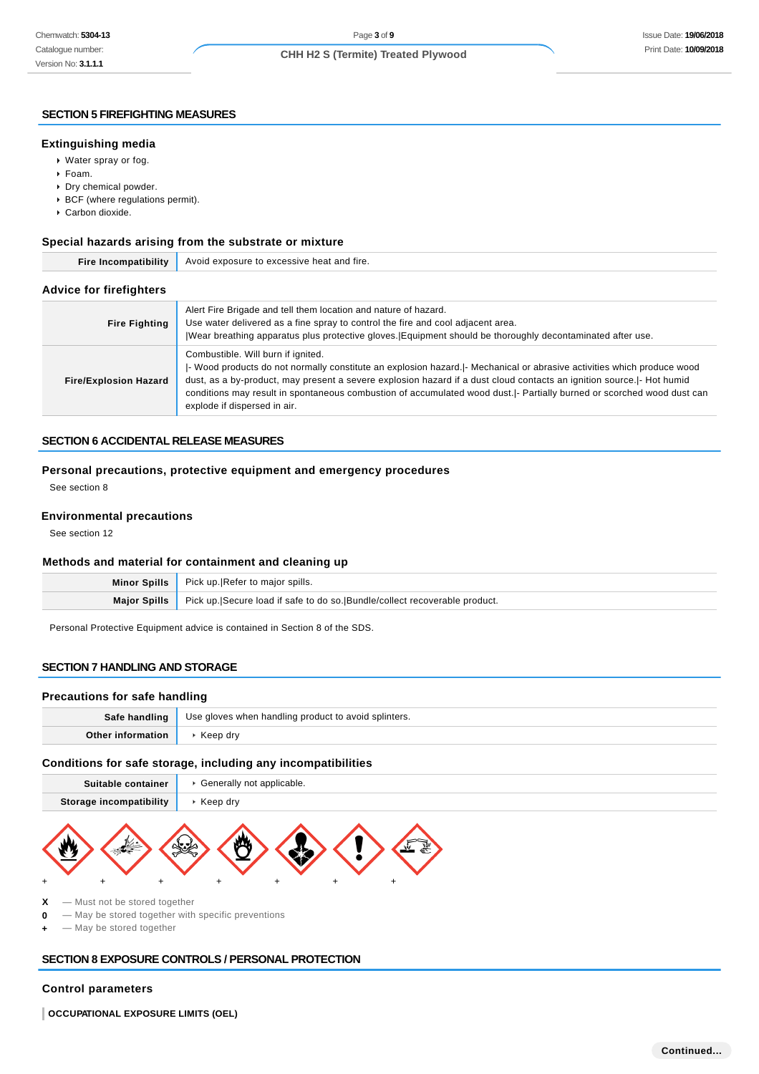#### **SECTION 5 FIREFIGHTING MEASURES**

#### **Extinguishing media**

- Water spray or fog.
- Foam.
- Dry chemical powder.
- BCF (where regulations permit).
- Carbon dioxide.

### **Special hazards arising from the substrate or mixture**

| <b>Fire Incompatibility</b>    | Avoid exposure to excessive heat and fire.                                                                                                                                                                                                                                                                                                                                                                                                         |  |  |
|--------------------------------|----------------------------------------------------------------------------------------------------------------------------------------------------------------------------------------------------------------------------------------------------------------------------------------------------------------------------------------------------------------------------------------------------------------------------------------------------|--|--|
| <b>Advice for firefighters</b> |                                                                                                                                                                                                                                                                                                                                                                                                                                                    |  |  |
| <b>Fire Fighting</b>           | Alert Fire Brigade and tell them location and nature of hazard.<br>Use water delivered as a fine spray to control the fire and cool adjacent area.<br>Wear breathing apparatus plus protective gloves. Equipment should be thoroughly decontaminated after use.                                                                                                                                                                                    |  |  |
| <b>Fire/Explosion Hazard</b>   | Combustible. Will burn if ignited.<br>- Wood products do not normally constitute an explosion hazard.  - Mechanical or abrasive activities which produce wood<br>dust, as a by-product, may present a severe explosion hazard if a dust cloud contacts an ignition source.  - Hot humid<br>conditions may result in spontaneous combustion of accumulated wood dust.  - Partially burned or scorched wood dust can<br>explode if dispersed in air. |  |  |

## **SECTION 6 ACCIDENTAL RELEASE MEASURES**

## **Personal precautions, protective equipment and emergency procedures**

See section 8

#### **Environmental precautions**

See section 12

#### **Methods and material for containment and cleaning up**

|                     | Minor Spills   Pick up. Refer to major spills.                             |
|---------------------|----------------------------------------------------------------------------|
| <b>Maior Spills</b> | Pick up. Secure load if safe to do so. Bundle/collect recoverable product. |
|                     |                                                                            |

Personal Protective Equipment advice is contained in Section 8 of the SDS.

## **SECTION 7 HANDLING AND STORAGE**

#### **Precautions for safe handling**

| Safe handling | Use gloves when handling product to avoid splinters. |
|---------------|------------------------------------------------------|
|               | . drv                                                |

## **Conditions for safe storage, including any incompatibilities**

| Suitable container             | Generally not applicable. |
|--------------------------------|---------------------------|
| <b>Storage incompatibility</b> | Keep dry                  |
|                                |                           |



- **X** Must not be stored together
- **0** May be stored together with specific preventions
- $-$  May be stored together

## **SECTION 8 EXPOSURE CONTROLS / PERSONAL PROTECTION**

## **Control parameters**

**OCCUPATIONAL EXPOSURE LIMITS (OEL)**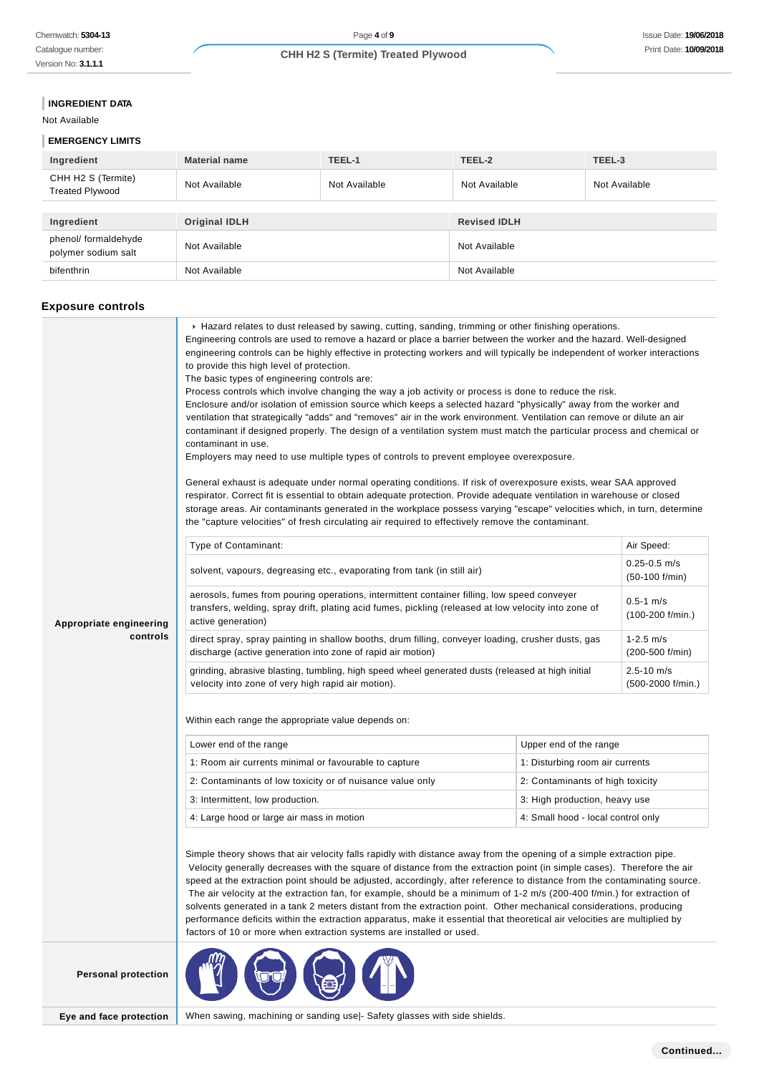Catalogue number: Version No: **3.1.1.1**

## **CHH H2 S (Termite) Treated Plywood**

### **INGREDIENT DATA**

Not Available

## **EMERGENCY LIMITS**

| Ingredient                                   | <b>Material name</b> | TEEL-1        | TEEL-2              | TEEL-3        |
|----------------------------------------------|----------------------|---------------|---------------------|---------------|
| CHH H2 S (Termite)<br><b>Treated Plywood</b> | Not Available        | Not Available | Not Available       | Not Available |
|                                              |                      |               |                     |               |
| Ingredient                                   | <b>Original IDLH</b> |               | <b>Revised IDLH</b> |               |
| phenol/ formaldehyde<br>polymer sodium salt  | Not Available        |               | Not Available       |               |
| bifenthrin                                   | Not Available        |               | Not Available       |               |

## **Exposure controls**

|                            | ▶ Hazard relates to dust released by sawing, cutting, sanding, trimming or other finishing operations.<br>Engineering controls are used to remove a hazard or place a barrier between the worker and the hazard. Well-designed<br>engineering controls can be highly effective in protecting workers and will typically be independent of worker interactions<br>to provide this high level of protection.<br>The basic types of engineering controls are:<br>Process controls which involve changing the way a job activity or process is done to reduce the risk.<br>Enclosure and/or isolation of emission source which keeps a selected hazard "physically" away from the worker and<br>ventilation that strategically "adds" and "removes" air in the work environment. Ventilation can remove or dilute an air<br>contaminant if designed properly. The design of a ventilation system must match the particular process and chemical or<br>contaminant in use.<br>Employers may need to use multiple types of controls to prevent employee overexposure.<br>General exhaust is adequate under normal operating conditions. If risk of overexposure exists, wear SAA approved<br>respirator. Correct fit is essential to obtain adequate protection. Provide adequate ventilation in warehouse or closed<br>storage areas. Air contaminants generated in the workplace possess varying "escape" velocities which, in turn, determine<br>the "capture velocities" of fresh circulating air required to effectively remove the contaminant. |                                    |            |  |  |
|----------------------------|-------------------------------------------------------------------------------------------------------------------------------------------------------------------------------------------------------------------------------------------------------------------------------------------------------------------------------------------------------------------------------------------------------------------------------------------------------------------------------------------------------------------------------------------------------------------------------------------------------------------------------------------------------------------------------------------------------------------------------------------------------------------------------------------------------------------------------------------------------------------------------------------------------------------------------------------------------------------------------------------------------------------------------------------------------------------------------------------------------------------------------------------------------------------------------------------------------------------------------------------------------------------------------------------------------------------------------------------------------------------------------------------------------------------------------------------------------------------------------------------------------------------------------------------------|------------------------------------|------------|--|--|
|                            | Type of Contaminant:                                                                                                                                                                                                                                                                                                                                                                                                                                                                                                                                                                                                                                                                                                                                                                                                                                                                                                                                                                                                                                                                                                                                                                                                                                                                                                                                                                                                                                                                                                                            |                                    | Air Speed: |  |  |
|                            | solvent, vapours, degreasing etc., evaporating from tank (in still air)                                                                                                                                                                                                                                                                                                                                                                                                                                                                                                                                                                                                                                                                                                                                                                                                                                                                                                                                                                                                                                                                                                                                                                                                                                                                                                                                                                                                                                                                         | $0.25 - 0.5$ m/s<br>(50-100 f/min) |            |  |  |
| Appropriate engineering    | aerosols, fumes from pouring operations, intermittent container filling, low speed conveyer<br>transfers, welding, spray drift, plating acid fumes, pickling (released at low velocity into zone of<br>active generation)                                                                                                                                                                                                                                                                                                                                                                                                                                                                                                                                                                                                                                                                                                                                                                                                                                                                                                                                                                                                                                                                                                                                                                                                                                                                                                                       | $0.5 - 1$ m/s<br>(100-200 f/min.)  |            |  |  |
| controls                   | direct spray, spray painting in shallow booths, drum filling, conveyer loading, crusher dusts, gas<br>discharge (active generation into zone of rapid air motion)                                                                                                                                                                                                                                                                                                                                                                                                                                                                                                                                                                                                                                                                                                                                                                                                                                                                                                                                                                                                                                                                                                                                                                                                                                                                                                                                                                               | $1 - 2.5$ m/s<br>(200-500 f/min)   |            |  |  |
|                            | grinding, abrasive blasting, tumbling, high speed wheel generated dusts (released at high initial<br>$2.5 - 10$ m/s<br>velocity into zone of very high rapid air motion).<br>(500-2000 f/min.)                                                                                                                                                                                                                                                                                                                                                                                                                                                                                                                                                                                                                                                                                                                                                                                                                                                                                                                                                                                                                                                                                                                                                                                                                                                                                                                                                  |                                    |            |  |  |
|                            | Within each range the appropriate value depends on:                                                                                                                                                                                                                                                                                                                                                                                                                                                                                                                                                                                                                                                                                                                                                                                                                                                                                                                                                                                                                                                                                                                                                                                                                                                                                                                                                                                                                                                                                             |                                    |            |  |  |
|                            | Lower end of the range                                                                                                                                                                                                                                                                                                                                                                                                                                                                                                                                                                                                                                                                                                                                                                                                                                                                                                                                                                                                                                                                                                                                                                                                                                                                                                                                                                                                                                                                                                                          | Upper end of the range             |            |  |  |
|                            | 1: Room air currents minimal or favourable to capture                                                                                                                                                                                                                                                                                                                                                                                                                                                                                                                                                                                                                                                                                                                                                                                                                                                                                                                                                                                                                                                                                                                                                                                                                                                                                                                                                                                                                                                                                           | 1: Disturbing room air currents    |            |  |  |
|                            | 2: Contaminants of low toxicity or of nuisance value only                                                                                                                                                                                                                                                                                                                                                                                                                                                                                                                                                                                                                                                                                                                                                                                                                                                                                                                                                                                                                                                                                                                                                                                                                                                                                                                                                                                                                                                                                       | 2: Contaminants of high toxicity   |            |  |  |
|                            | 3: Intermittent, low production.                                                                                                                                                                                                                                                                                                                                                                                                                                                                                                                                                                                                                                                                                                                                                                                                                                                                                                                                                                                                                                                                                                                                                                                                                                                                                                                                                                                                                                                                                                                | 3: High production, heavy use      |            |  |  |
|                            | 4: Large hood or large air mass in motion                                                                                                                                                                                                                                                                                                                                                                                                                                                                                                                                                                                                                                                                                                                                                                                                                                                                                                                                                                                                                                                                                                                                                                                                                                                                                                                                                                                                                                                                                                       | 4: Small hood - local control only |            |  |  |
|                            | Simple theory shows that air velocity falls rapidly with distance away from the opening of a simple extraction pipe.<br>Velocity generally decreases with the square of distance from the extraction point (in simple cases). Therefore the air<br>speed at the extraction point should be adjusted, accordingly, after reference to distance from the contaminating source.<br>The air velocity at the extraction fan, for example, should be a minimum of 1-2 m/s (200-400 f/min.) for extraction of<br>solvents generated in a tank 2 meters distant from the extraction point. Other mechanical considerations, producing<br>performance deficits within the extraction apparatus, make it essential that theoretical air velocities are multiplied by<br>factors of 10 or more when extraction systems are installed or used.                                                                                                                                                                                                                                                                                                                                                                                                                                                                                                                                                                                                                                                                                                              |                                    |            |  |  |
| <b>Personal protection</b> |                                                                                                                                                                                                                                                                                                                                                                                                                                                                                                                                                                                                                                                                                                                                                                                                                                                                                                                                                                                                                                                                                                                                                                                                                                                                                                                                                                                                                                                                                                                                                 |                                    |            |  |  |

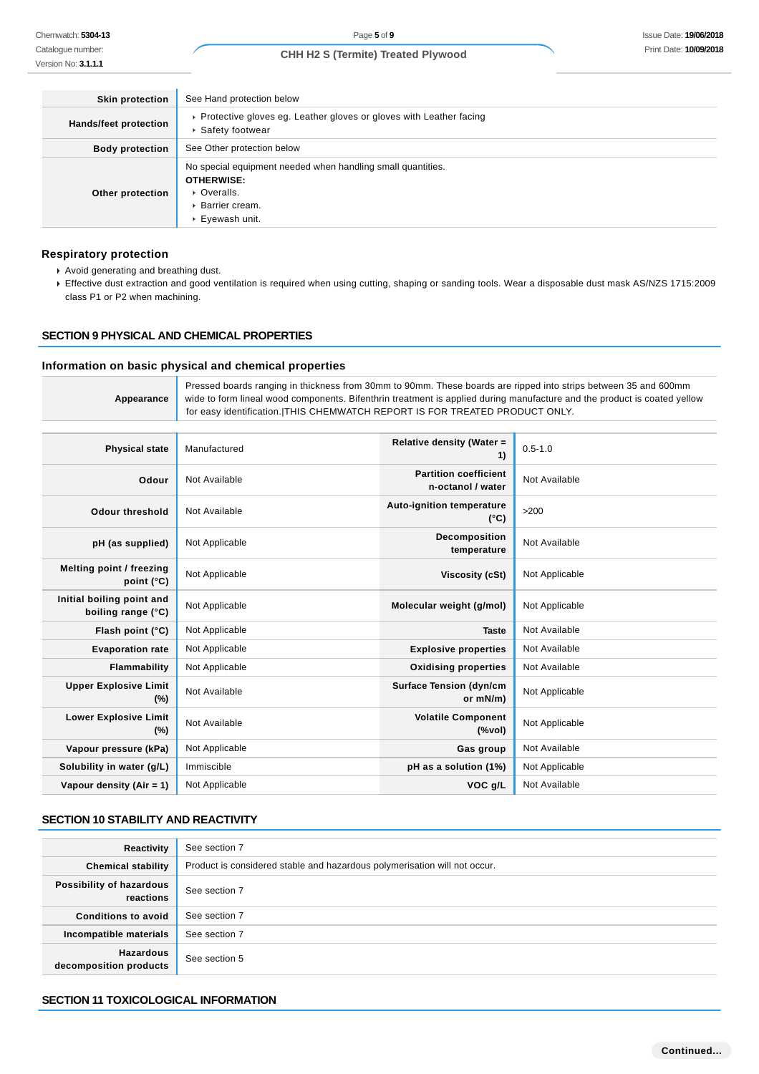| <b>Skin protection</b> | See Hand protection below                                                                                                              |
|------------------------|----------------------------------------------------------------------------------------------------------------------------------------|
| Hands/feet protection  | ▶ Protective gloves eg. Leather gloves or gloves with Leather facing<br>▶ Safety footwear                                              |
| <b>Body protection</b> | See Other protection below                                                                                                             |
| Other protection       | No special equipment needed when handling small quantities.<br><b>OTHERWISE:</b><br>• Overalls.<br>▶ Barrier cream.<br>▶ Eyewash unit. |

### **Respiratory protection**

- Avoid generating and breathing dust.
- Effective dust extraction and good ventilation is required when using cutting, shaping or sanding tools. Wear a disposable dust mask AS/NZS 1715:2009 class P1 or P2 when machining.

## **SECTION 9 PHYSICAL AND CHEMICAL PROPERTIES**

### **Information on basic physical and chemical properties**

|            | Pressed boards ranging in thickness from 30mm to 90mm. These boards are ripped into strips between 35 and 600mm          |
|------------|--------------------------------------------------------------------------------------------------------------------------|
| Appearance | wide to form lineal wood components. Bifenthrin treatment is applied during manufacture and the product is coated yellow |
|            | for easy identification. THIS CHEMWATCH REPORT IS FOR TREATED PRODUCT ONLY.                                              |

| <b>Physical state</b>                           | Manufactured   | Relative density (Water =<br>1)                   | $0.5 - 1.0$    |
|-------------------------------------------------|----------------|---------------------------------------------------|----------------|
| Odour                                           | Not Available  | <b>Partition coefficient</b><br>n-octanol / water | Not Available  |
| <b>Odour threshold</b>                          | Not Available  | <b>Auto-ignition temperature</b><br>$(^{\circ}C)$ | >200           |
| pH (as supplied)                                | Not Applicable | Decomposition<br>temperature                      | Not Available  |
| Melting point / freezing<br>point (°C)          | Not Applicable | Viscosity (cSt)                                   | Not Applicable |
| Initial boiling point and<br>boiling range (°C) | Not Applicable | Molecular weight (g/mol)                          | Not Applicable |
| Flash point (°C)                                | Not Applicable | <b>Taste</b>                                      | Not Available  |
| <b>Evaporation rate</b>                         | Not Applicable | <b>Explosive properties</b>                       | Not Available  |
| Flammability                                    | Not Applicable | <b>Oxidising properties</b>                       | Not Available  |
| <b>Upper Explosive Limit</b><br>$(\%)$          | Not Available  | <b>Surface Tension (dyn/cm</b><br>or mN/m)        | Not Applicable |
| <b>Lower Explosive Limit</b><br>$(\%)$          | Not Available  | <b>Volatile Component</b><br>$(\%$ vol)           | Not Applicable |
| Vapour pressure (kPa)                           | Not Applicable | Gas group                                         | Not Available  |
| Solubility in water (g/L)                       | Immiscible     | pH as a solution (1%)                             | Not Applicable |
| Vapour density $(Air = 1)$                      | Not Applicable | VOC g/L                                           | Not Available  |

## **SECTION 10 STABILITY AND REACTIVITY**

| Reactivity                                 | See section 7                                                             |
|--------------------------------------------|---------------------------------------------------------------------------|
| <b>Chemical stability</b>                  | Product is considered stable and hazardous polymerisation will not occur. |
| Possibility of hazardous<br>reactions      | See section 7                                                             |
| <b>Conditions to avoid</b>                 | See section 7                                                             |
| Incompatible materials                     | See section 7                                                             |
| <b>Hazardous</b><br>decomposition products | See section 5                                                             |

## **SECTION 11 TOXICOLOGICAL INFORMATION**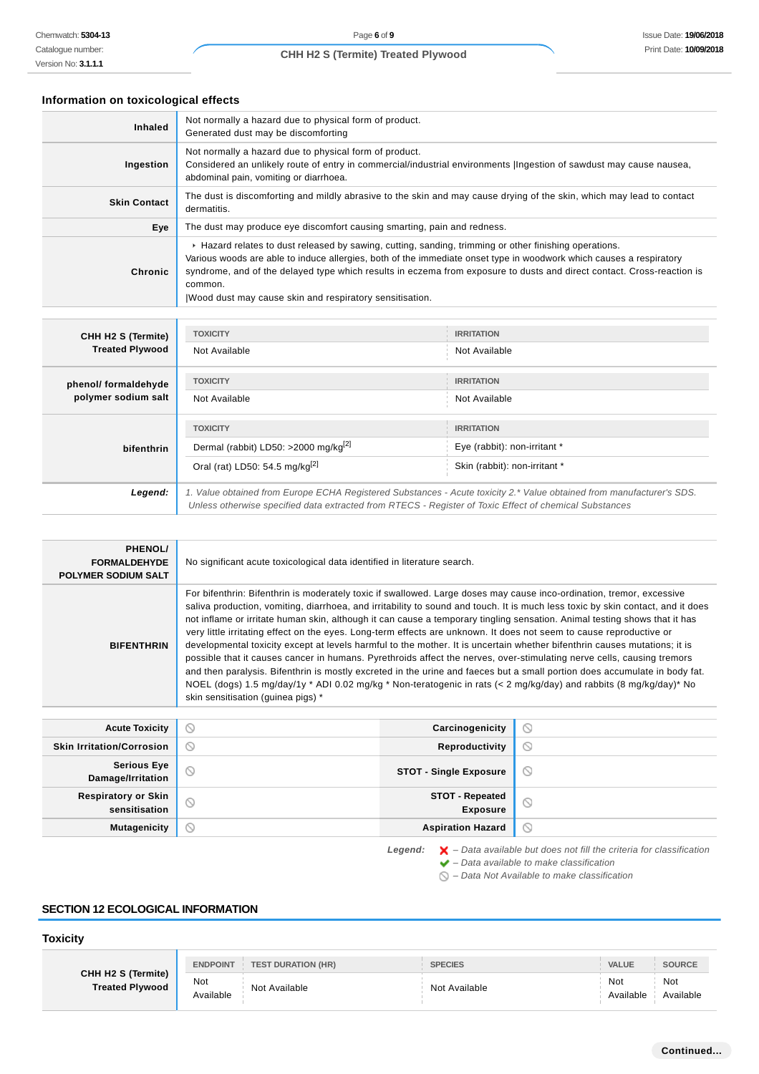## **Information on toxicological effects**

| <b>Inhaled</b>      | Not normally a hazard due to physical form of product.<br>Generated dust may be discomforting                                                                                                                                                                                                                                                                                                                                 |
|---------------------|-------------------------------------------------------------------------------------------------------------------------------------------------------------------------------------------------------------------------------------------------------------------------------------------------------------------------------------------------------------------------------------------------------------------------------|
| Ingestion           | Not normally a hazard due to physical form of product.<br>Considered an unlikely route of entry in commercial/industrial environments  Ingestion of sawdust may cause nausea,<br>abdominal pain, vomiting or diarrhoea.                                                                                                                                                                                                       |
| <b>Skin Contact</b> | The dust is discomforting and mildly abrasive to the skin and may cause drying of the skin, which may lead to contact<br>dermatitis.                                                                                                                                                                                                                                                                                          |
| Eye                 | The dust may produce eye discomfort causing smarting, pain and redness.                                                                                                                                                                                                                                                                                                                                                       |
| <b>Chronic</b>      | ► Hazard relates to dust released by sawing, cutting, sanding, trimming or other finishing operations.<br>Various woods are able to induce allergies, both of the immediate onset type in woodwork which causes a respiratory<br>syndrome, and of the delayed type which results in eczema from exposure to dusts and direct contact. Cross-reaction is<br>common.<br>Wood dust may cause skin and respiratory sensitisation. |

| CHH H2 S (Termite)<br><b>Treated Plywood</b> | <b>TOXICITY</b>                                                                                                                                                                                                                 | <b>IRRITATION</b>            |  |
|----------------------------------------------|---------------------------------------------------------------------------------------------------------------------------------------------------------------------------------------------------------------------------------|------------------------------|--|
|                                              | Not Available                                                                                                                                                                                                                   | Not Available                |  |
| phenol/ formaldehyde<br>polymer sodium salt  | <b>TOXICITY</b>                                                                                                                                                                                                                 | <b>IRRITATION</b>            |  |
|                                              | Not Available                                                                                                                                                                                                                   | Not Available                |  |
| bifenthrin                                   | <b>TOXICITY</b>                                                                                                                                                                                                                 | <b>IRRITATION</b>            |  |
|                                              | Dermal (rabbit) LD50: >2000 mg/kg <sup>[2]</sup>                                                                                                                                                                                | Eye (rabbit): non-irritant * |  |
|                                              | Oral (rat) LD50: 54.5 mg/kg <sup>[2]</sup><br>Skin (rabbit): non-irritant *                                                                                                                                                     |                              |  |
| Legend:                                      | 1. Value obtained from Europe ECHA Registered Substances - Acute toxicity 2.* Value obtained from manufacturer's SDS.<br>Unless otherwise specified data extracted from RTECS - Register of Toxic Effect of chemical Substances |                              |  |

| PHENOL/<br><b>FORMALDEHYDE</b><br><b>POLYMER SODIUM SALT</b> | No significant acute toxicological data identified in literature search.                                                                                                                                                                                                                                                                                                                                                                                                                                                                                                                                                                                                                                                                                                                                                                                                                                                                                                                                                                                       |
|--------------------------------------------------------------|----------------------------------------------------------------------------------------------------------------------------------------------------------------------------------------------------------------------------------------------------------------------------------------------------------------------------------------------------------------------------------------------------------------------------------------------------------------------------------------------------------------------------------------------------------------------------------------------------------------------------------------------------------------------------------------------------------------------------------------------------------------------------------------------------------------------------------------------------------------------------------------------------------------------------------------------------------------------------------------------------------------------------------------------------------------|
| <b>BIFENTHRIN</b>                                            | For bifenthrin: Bifenthrin is moderately toxic if swallowed. Large doses may cause inco-ordination, tremor, excessive<br>saliva production, vomiting, diarrhoea, and irritability to sound and touch. It is much less toxic by skin contact, and it does<br>not inflame or irritate human skin, although it can cause a temporary tingling sensation. Animal testing shows that it has<br>very little irritating effect on the eyes. Long-term effects are unknown. It does not seem to cause reproductive or<br>developmental toxicity except at levels harmful to the mother. It is uncertain whether bifenthrin causes mutations; it is<br>possible that it causes cancer in humans. Pyrethroids affect the nerves, over-stimulating nerve cells, causing tremors<br>and then paralysis. Bifenthrin is mostly excreted in the urine and faeces but a small portion does accumulate in body fat.<br>NOEL (dogs) 1.5 mg/day/1y * ADI 0.02 mg/kg * Non-teratogenic in rats (< 2 mg/kg/day) and rabbits (8 mg/kg/day)* No<br>skin sensitisation (guinea pigs) * |

| <b>Acute Toxicity</b>                   | $\circ$ | Carcinogenicity                    | $\circ$ |
|-----------------------------------------|---------|------------------------------------|---------|
| <b>Skin Irritation/Corrosion</b>        | $\circ$ | Reproductivity                     | $\circ$ |
| <b>Serious Eye</b><br>Damage/Irritation | $\circ$ | <b>STOT - Single Exposure</b>      | $\circ$ |
| Respiratory or Skin<br>sensitisation    | O       | <b>STOT - Repeated</b><br>Exposure | S       |
| <b>Mutagenicity</b>                     | O       | <b>Aspiration Hazard</b>           | $\circ$ |

Legend:  $\mathsf{X}$  - Data available but does not fill the criteria for classification  $\blacktriangleright$  – Data available to make classification

 $\bigcirc$  – Data Not Available to make classification

## **SECTION 12 ECOLOGICAL INFORMATION**

## **Toxicity**

| CHH H2 S (Termite)<br><b>Treated Plywood</b> | <b>ENDPOINT</b><br><b>TEST DURATION (HR)</b> | <b>SPECIES</b> | <b>VALUE</b>     | <b>SOURCE</b>    |
|----------------------------------------------|----------------------------------------------|----------------|------------------|------------------|
|                                              | Not<br>Not Available<br>Available            | Not Available  | Not<br>Available | Not<br>Available |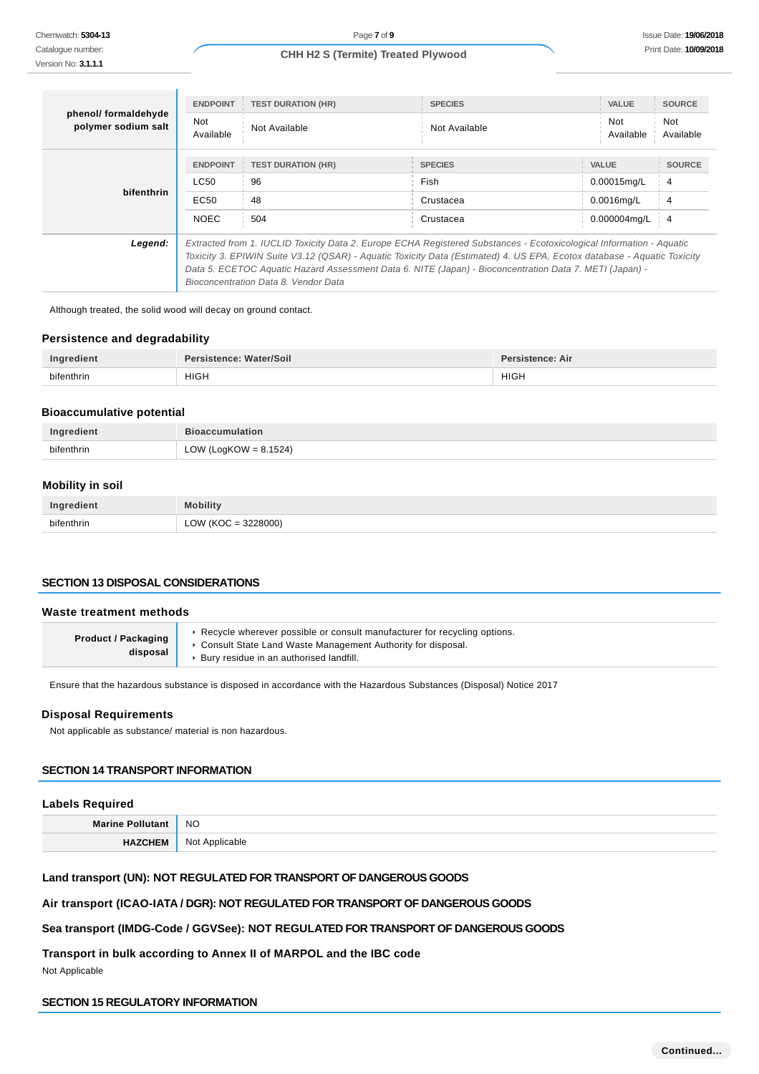| phenol/ formaldehyde<br>polymer sodium salt | <b>ENDPOINT</b><br>Not<br>Available                                                                                                                                                                                                                                                                                                                                                                | <b>TEST DURATION (HR)</b><br>Not Available   | <b>SPECIES</b><br>Not Available                         | <b>VALUE</b><br>Not<br>Available                                | <b>SOURCE</b><br>Not<br>Available         |
|---------------------------------------------|----------------------------------------------------------------------------------------------------------------------------------------------------------------------------------------------------------------------------------------------------------------------------------------------------------------------------------------------------------------------------------------------------|----------------------------------------------|---------------------------------------------------------|-----------------------------------------------------------------|-------------------------------------------|
| bifenthrin                                  | <b>ENDPOINT</b><br>LC50<br>EC50<br><b>NOEC</b>                                                                                                                                                                                                                                                                                                                                                     | <b>TEST DURATION (HR)</b><br>96<br>48<br>504 | <b>SPECIES</b><br><b>Fish</b><br>Crustacea<br>Crustacea | <b>VALUE</b><br>$0.00015$ mg/L<br>$0.0016$ mg/L<br>0.000004mg/L | <b>SOURCE</b><br>4<br>4<br>$\overline{4}$ |
| Legend:                                     | Extracted from 1. IUCLID Toxicity Data 2. Europe ECHA Registered Substances - Ecotoxicological Information - Aquatic<br>Toxicity 3. EPIWIN Suite V3.12 (QSAR) - Aquatic Toxicity Data (Estimated) 4. US EPA, Ecotox database - Aquatic Toxicity<br>Data 5. ECETOC Aquatic Hazard Assessment Data 6. NITE (Japan) - Bioconcentration Data 7. METI (Japan) -<br>Bioconcentration Data 8. Vendor Data |                                              |                                                         |                                                                 |                                           |

Although treated, the solid wood will decay on ground contact.

### **Persistence and degradability**

| Ingredient | Persistence: Water/Soil | <b>Persistence: Air</b> |
|------------|-------------------------|-------------------------|
| bifenthrin | <b>HIGH</b>             | <b>HIGH</b>             |

## **Bioaccumulative potential**

| Ingredient | <b>Bioaccumulation</b>   |
|------------|--------------------------|
| bifenthrin | LOW (LogKOW = $8.1524$ ) |

### **Mobility in soil**

| Ingredient | obility             |
|------------|---------------------|
| bifenthrin | LOW (KOC = 3228000) |

## **SECTION 13 DISPOSAL CONSIDERATIONS**

#### **Waste treatment methods**

| <b>Product / Packaging</b><br>disposal | Recycle wherever possible or consult manufacturer for recycling options.<br>Consult State Land Waste Management Authority for disposal.<br>▶ Bury residue in an authorised landfill. |
|----------------------------------------|--------------------------------------------------------------------------------------------------------------------------------------------------------------------------------------|
|----------------------------------------|--------------------------------------------------------------------------------------------------------------------------------------------------------------------------------------|

Ensure that the hazardous substance is disposed in accordance with the Hazardous Substances (Disposal) Notice 2017

#### **Disposal Requirements**

Not applicable as substance/ material is non hazardous.

## **SECTION 14 TRANSPORT INFORMATION**

## **Labels Required**

**Marine Pollutant** NO **HAZCHEM** Not Applicable

## **Land transport (UN): NOT REGULATED FOR TRANSPORT OF DANGEROUS GOODS**

## **Air transport (ICAO-IATA / DGR): NOT REGULATED FOR TRANSPORT OF DANGEROUS GOODS**

## **Sea transport (IMDG-Code / GGVSee): NOT REGULATED FOR TRANSPORT OF DANGEROUS GOODS**

**Transport in bulk according to Annex II of MARPOL and the IBC code**

Not Applicable

## **SECTION 15 REGULATORY INFORMATION**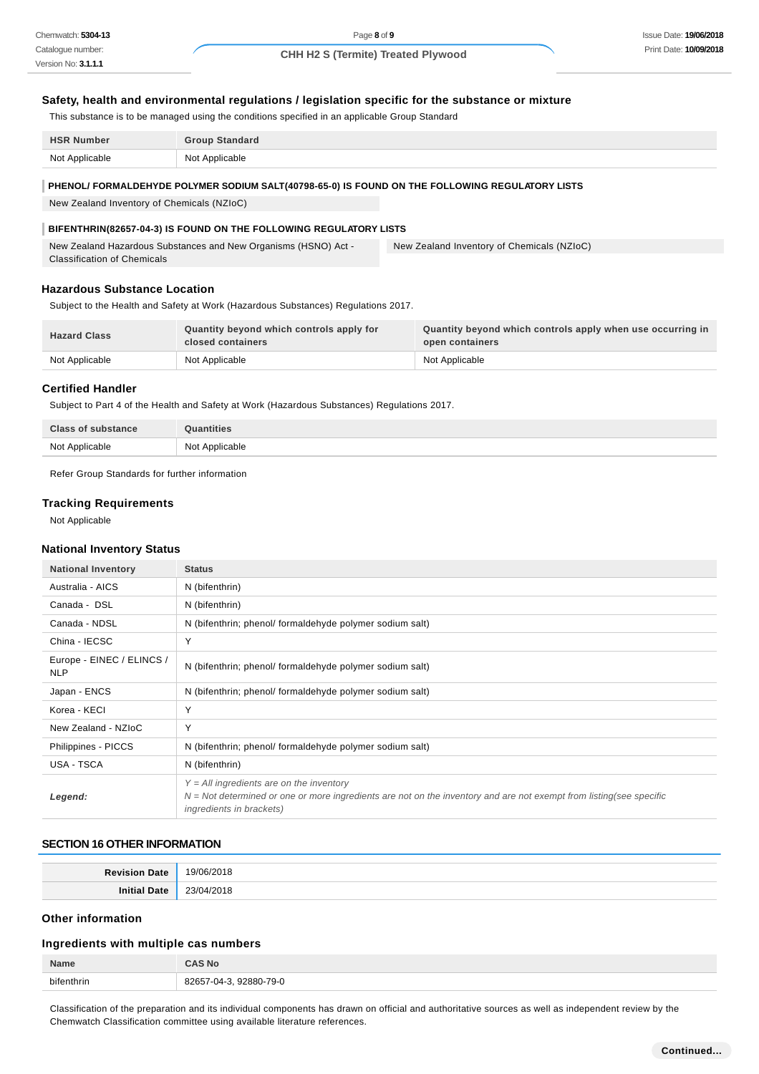### **Safety, health and environmental regulations / legislation specific for the substance or mixture**

This substance is to be managed using the conditions specified in an applicable Group Standard

| <b>HSR Number</b> | <b>Group Standard</b> |
|-------------------|-----------------------|
| Not Applicable    | Not Applicable        |

#### **PHENOL/ FORMALDEHYDE POLYMER SODIUM SALT(40798-65-0) IS FOUND ON THE FOLLOWING REGULATORY LISTS**

New Zealand Inventory of Chemicals (NZIoC)

#### **BIFENTHRIN(82657-04-3) IS FOUND ON THE FOLLOWING REGULATORY LISTS**

New Zealand Hazardous Substances and New Organisms (HSNO) Act - Classification of Chemicals New Zealand Inventory of Chemicals (NZIoC)

#### **Hazardous Substance Location**

Subject to the Health and Safety at Work (Hazardous Substances) Regulations 2017.

| <b>Hazard Class</b> | Quantity beyond which controls apply for<br>closed containers | Quantity beyond which controls apply when use occurring in<br>open containers |
|---------------------|---------------------------------------------------------------|-------------------------------------------------------------------------------|
| Not Applicable      | Not Applicable                                                | Not Applicable                                                                |

## **Certified Handler**

Subject to Part 4 of the Health and Safety at Work (Hazardous Substances) Regulations 2017.

| <b>Class of substance</b> | λuantities     |
|---------------------------|----------------|
| Not Applicable            | Not Applicable |

Refer Group Standards for further information

#### **Tracking Requirements**

Not Applicable

### **National Inventory Status**

| <b>National Inventory</b>               | <b>Status</b>                                                                                                                                                                                          |
|-----------------------------------------|--------------------------------------------------------------------------------------------------------------------------------------------------------------------------------------------------------|
| Australia - AICS                        | N (bifenthrin)                                                                                                                                                                                         |
| Canada - DSL                            | N (bifenthrin)                                                                                                                                                                                         |
| Canada - NDSL                           | N (bifenthrin; phenol/ formaldehyde polymer sodium salt)                                                                                                                                               |
| China - IECSC                           | Y                                                                                                                                                                                                      |
| Europe - EINEC / ELINCS /<br><b>NLP</b> | N (bifenthrin; phenol/ formaldehyde polymer sodium salt)                                                                                                                                               |
| Japan - ENCS                            | N (bifenthrin; phenol/ formaldehyde polymer sodium salt)                                                                                                                                               |
| Korea - KECI                            | Y                                                                                                                                                                                                      |
| New Zealand - NZIoC                     | Υ                                                                                                                                                                                                      |
| Philippines - PICCS                     | N (bifenthrin; phenol/ formaldehyde polymer sodium salt)                                                                                                                                               |
| USA - TSCA                              | N (bifenthrin)                                                                                                                                                                                         |
| Legend:                                 | $Y = All$ ingredients are on the inventory<br>$N = Not$ determined or one or more ingredients are not on the inventory and are not exempt from listing(see specific<br><i>ingredients in brackets)</i> |

## **SECTION 16 OTHER INFORMATION**

| . .<br>.<br>__ |
|----------------|

#### **Other information**

#### **Ingredients with multiple cas numbers**

| Name       | i Nc                     |
|------------|--------------------------|
| bifenthrin | 92880-79-0<br>82<br>-114 |

Classification of the preparation and its individual components has drawn on official and authoritative sources as well as independent review by the Chemwatch Classification committee using available literature references.